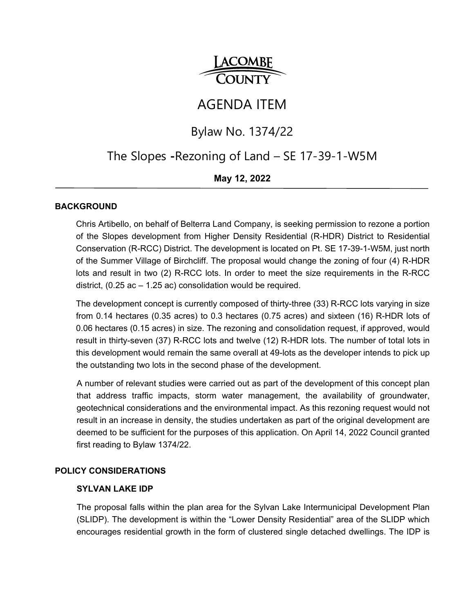

# AGENDA ITEM

## Bylaw No. 1374/22

## The Slopes **-**Rezoning of Land – SE 17-39-1-W5M

## **May 12, 2022**

#### **BACKGROUND**

Chris Artibello, on behalf of Belterra Land Company, is seeking permission to rezone a portion of the Slopes development from Higher Density Residential (R-HDR) District to Residential Conservation (R-RCC) District. The development is located on Pt. SE 17-39-1-W5M, just north of the Summer Village of Birchcliff. The proposal would change the zoning of four (4) R-HDR lots and result in two (2) R-RCC lots. In order to meet the size requirements in the R-RCC district, (0.25 ac – 1.25 ac) consolidation would be required.

The development concept is currently composed of thirty-three (33) R-RCC lots varying in size from 0.14 hectares (0.35 acres) to 0.3 hectares (0.75 acres) and sixteen (16) R-HDR lots of 0.06 hectares (0.15 acres) in size. The rezoning and consolidation request, if approved, would result in thirty-seven (37) R-RCC lots and twelve (12) R-HDR lots. The number of total lots in this development would remain the same overall at 49-lots as the developer intends to pick up the outstanding two lots in the second phase of the development.

A number of relevant studies were carried out as part of the development of this concept plan that address traffic impacts, storm water management, the availability of groundwater, geotechnical considerations and the environmental impact. As this rezoning request would not result in an increase in density, the studies undertaken as part of the original development are deemed to be sufficient for the purposes of this application. On April 14, 2022 Council granted first reading to Bylaw 1374/22.

#### **POLICY CONSIDERATIONS**

#### **SYLVAN LAKE IDP**

The proposal falls within the plan area for the Sylvan Lake Intermunicipal Development Plan (SLIDP). The development is within the "Lower Density Residential" area of the SLIDP which encourages residential growth in the form of clustered single detached dwellings. The IDP is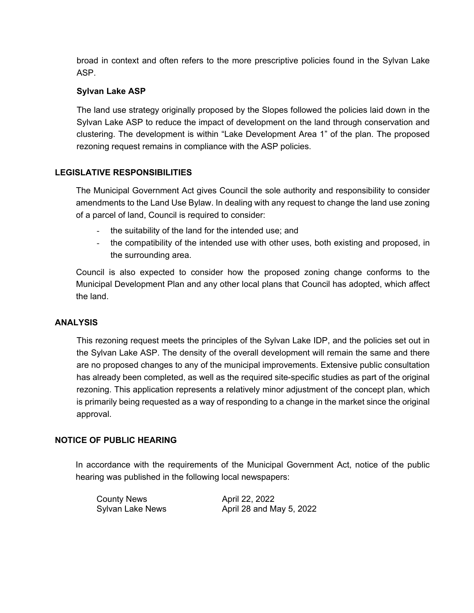broad in context and often refers to the more prescriptive policies found in the Sylvan Lake ASP.

### **Sylvan Lake ASP**

The land use strategy originally proposed by the Slopes followed the policies laid down in the Sylvan Lake ASP to reduce the impact of development on the land through conservation and clustering. The development is within "Lake Development Area 1" of the plan. The proposed rezoning request remains in compliance with the ASP policies.

## **LEGISLATIVE RESPONSIBILITIES**

The Municipal Government Act gives Council the sole authority and responsibility to consider amendments to the Land Use Bylaw. In dealing with any request to change the land use zoning of a parcel of land, Council is required to consider:

- the suitability of the land for the intended use; and
- the compatibility of the intended use with other uses, both existing and proposed, in the surrounding area.

Council is also expected to consider how the proposed zoning change conforms to the Municipal Development Plan and any other local plans that Council has adopted, which affect the land.

### **ANALYSIS**

This rezoning request meets the principles of the Sylvan Lake IDP, and the policies set out in the Sylvan Lake ASP. The density of the overall development will remain the same and there are no proposed changes to any of the municipal improvements. Extensive public consultation has already been completed, as well as the required site-specific studies as part of the original rezoning. This application represents a relatively minor adjustment of the concept plan, which is primarily being requested as a way of responding to a change in the market since the original approval.

### **NOTICE OF PUBLIC HEARING**

In accordance with the requirements of the Municipal Government Act, notice of the public hearing was published in the following local newspapers:

County News **April 22, 2022** 

Sylvan Lake News **April 28 and May 5, 2022**